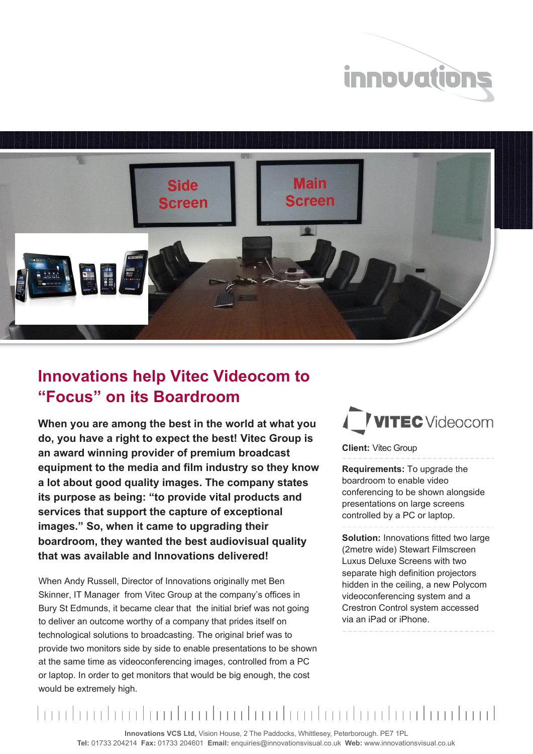



## **Innovations help Vitec Videocom to "Focus" on its Boardroom**

**When you are among the best in the world at what you do, you have a right to expect the best! Vitec Group is an award winning provider of premium broadcast equipment to the media and film industry so they know a lot about good quality images. The company states its purpose as being: "to provide vital products and services that support the capture of exceptional images." So, when it came to upgrading their boardroom, they wanted the best audiovisual quality that was available and Innovations delivered!**

When Andy Russell, Director of Innovations originally met Ben Skinner, IT Manager from Vitec Group at the company's offices in Bury St Edmunds, it became clear that the initial brief was not going to deliver an outcome worthy of a company that prides itself on technological solutions to broadcasting. The original brief was to provide two monitors side by side to enable presentations to be shown at the same time as videoconferencing images, controlled from a PC or laptop. In order to get monitors that would be big enough, the cost would be extremely high.

## **VITEC** Videocom

**Client:** Vitec Group

**Requirements:** To upgrade the boardroom to enable video conferencing to be shown alongside presentations on large screens controlled by a PC or laptop.

**Solution: Innovations fitted two large** (2metre wide) Stewart Filmscreen Luxus Deluxe Screens with two separate high definition projectors hidden in the ceiling, a new Polycom videoconferencing system and a Crestron Control system accessed via an iPad or iPhone.